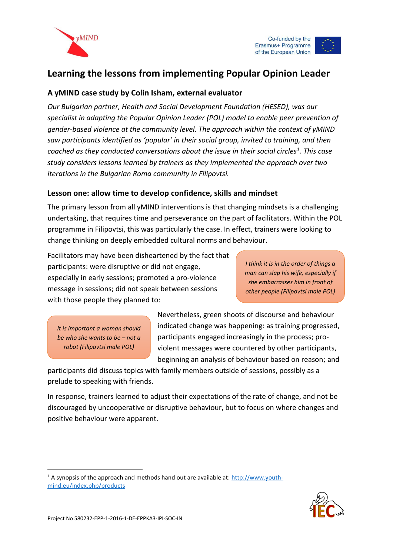



# **Learning the lessons from implementing Popular Opinion Leader**

### **A yMIND case study by Colin Isham, external evaluator**

*Our Bulgarian partner, Health and Social Development Foundation (HESED), was our specialist in adapting the Popular Opinion Leader (POL) model to enable peer prevention of gender-based violence at the community level. The approach within the context of yMIND saw participants identified as 'popular' in their social group, invited to training, and then coached as they conducted conversations about the issue in their social circles<sup>1</sup> . This case study considers lessons learned by trainers as they implemented the approach over two iterations in the Bulgarian Roma community in Filipovtsi.* 

#### **Lesson one: allow time to develop confidence, skills and mindset**

The primary lesson from all yMIND interventions is that changing mindsets is a challenging undertaking, that requires time and perseverance on the part of facilitators. Within the POL programme in Filipovtsi, this was particularly the case. In effect, trainers were looking to change thinking on deeply embedded cultural norms and behaviour.

Facilitators may have been disheartened by the fact that participants: were disruptive or did not engage, especially in early sessions; promoted a pro-violence message in sessions; did not speak between sessions with those people they planned to:

*I think it is in the order of things a man can slap his wife, especially if she embarrasses him in front of other people (Filipovtsi male POL)*

*It is important a woman should be who she wants to be – not a robot (Filipovtsi male POL)*

Nevertheless, green shoots of discourse and behaviour indicated change was happening: as training progressed, participants engaged increasingly in the process; proviolent messages were countered by other participants, beginning an analysis of behaviour based on reason; and

participants did discuss topics with family members outside of sessions, possibly as a prelude to speaking with friends.

In response, trainers learned to adjust their expectations of the rate of change, and not be discouraged by uncooperative or disruptive behaviour, but to focus on where changes and positive behaviour were apparent.

 $1$  A synopsis of the approach and methods hand out are available at: http://www.youthmind.eu/index.php/products



-